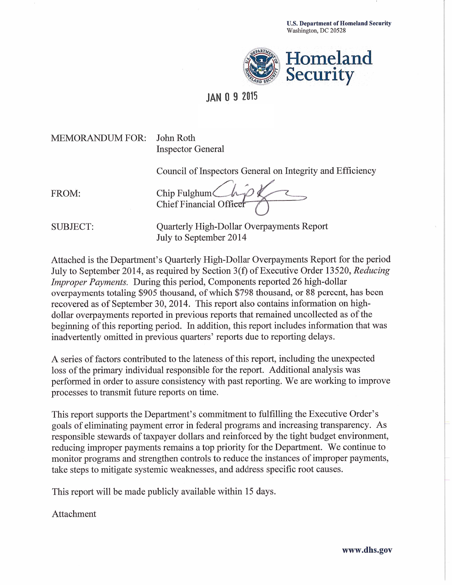

## **JAN 0 9 2015**

### **MEMORANDUM FOR:**

John Roth **Inspector General** 

Council of Inspectors General on Integrity and Efficiency

FROM:

Chip Fulghum Chief Financial Office

**SUBJECT:** 

Quarterly High-Dollar Overpayments Report July to September 2014

Attached is the Department's Quarterly High-Dollar Overpayments Report for the period July to September 2014, as required by Section 3(f) of Executive Order 13520, Reducing *Improper Payments.* During this period, Components reported 26 high-dollar overpayments totaling \$905 thousand, of which \$798 thousand, or 88 percent, has been recovered as of September 30, 2014. This report also contains information on highdollar overpayments reported in previous reports that remained uncollected as of the beginning of this reporting period. In addition, this report includes information that was inadvertently omitted in previous quarters' reports due to reporting delays.

A series of factors contributed to the lateness of this report, including the unexpected loss of the primary individual responsible for the report. Additional analysis was performed in order to assure consistency with past reporting. We are working to improve processes to transmit future reports on time.

This report supports the Department's commitment to fulfilling the Executive Order's goals of eliminating payment error in federal programs and increasing transparency. As responsible stewards of taxpayer dollars and reinforced by the tight budget environment, reducing improper payments remains a top priority for the Department. We continue to monitor programs and strengthen controls to reduce the instances of improper payments, take steps to mitigate systemic weaknesses, and address specific root causes.

This report will be made publicly available within 15 days.

Attachment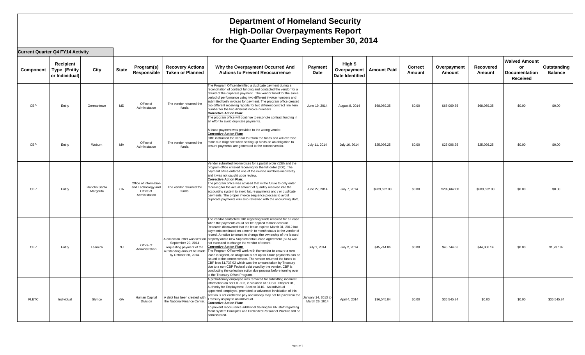**Current Quarter Q4 FY14 Activity**

| Component    | Recipient<br><b>Type (Entity</b><br>or Individual) | City                      | <b>State</b> | Program(s)<br>Responsible                                                 | <b>Recovery Actions</b><br><b>Taken or Planned</b>                                                    | Why the Overpayment Occurred And<br><b>Actions to Prevent Reoccurrence</b>                                                                                                                                                                                                                                                                                                                                                                                                                                                                                                                                                                                                                                                                                                                                                                                                                                                                               | Payment<br>Date                       | High \$<br>Overpayment<br>Date Identified | <b>Amount Paid</b> | <b>Correct</b><br><b>Amount</b> | Overpayment<br>Amount | Recovered<br>Amount | <b>Waived Amount</b><br>or<br><b>Documentation</b><br>Received | Outstanding<br><b>Balance</b> |
|--------------|----------------------------------------------------|---------------------------|--------------|---------------------------------------------------------------------------|-------------------------------------------------------------------------------------------------------|----------------------------------------------------------------------------------------------------------------------------------------------------------------------------------------------------------------------------------------------------------------------------------------------------------------------------------------------------------------------------------------------------------------------------------------------------------------------------------------------------------------------------------------------------------------------------------------------------------------------------------------------------------------------------------------------------------------------------------------------------------------------------------------------------------------------------------------------------------------------------------------------------------------------------------------------------------|---------------------------------------|-------------------------------------------|--------------------|---------------------------------|-----------------------|---------------------|----------------------------------------------------------------|-------------------------------|
| CBP          | Entity                                             | Germantown                | <b>MD</b>    | Office of<br>Administation                                                | The vendor returned the<br>funds.                                                                     | The Program Office identified a duplicate payment during a<br>reconciliation of contract funding and contacted the vendor for a<br>refund of the duplicate payment. The vendor billed for the same<br>period of performance using two different invoice numbers and<br>submitted both invoices for payment. The program office created<br>two different receiving reports for two different contract line item<br>number for the two different invoice numbers.<br><b>Corrective Action Plan:</b><br>The program office will continue to reconcile contract funding in<br>an effort to avoid duplicate payments.                                                                                                                                                                                                                                                                                                                                         | June 19, 2014                         | August 8, 2014                            | \$68,069.35        | \$0.00                          | \$68,069.35           | \$68,069.35         | \$0.00                                                         | \$0.00                        |
| CBP          | Entity                                             | Woburn                    | MA           | Office of<br>Administation                                                | The vendor returned the<br>funds.                                                                     | A lease payment was provided to the wrong vendor.<br><b>Corrective Action Plan:</b><br>CBP instructed the vendor to return the funds and will exercise<br>more due diligence when setting up funds on an obligation to<br>ensure payments are generated to the correct vendor.                                                                                                                                                                                                                                                                                                                                                                                                                                                                                                                                                                                                                                                                           | July 11, 2014                         | July 16, 2014                             | \$25.096.25        | \$0.00                          | \$25,096.25           | \$25,096.25         | \$0.00                                                         | \$0.00                        |
| CBP          | Entity                                             | Rancho Santa<br>Margarita | CA           | Office of Information<br>and Technology and<br>Office of<br>Administation | The vendor returned the<br>funds.                                                                     | Vendor submitted two invoices for a partial order (138) and the<br>program office entered receiving for the full order (300). The<br>payment office entered one of the invoice numbers incorrectly<br>and it was not caught upon review.<br><b>Corrective Action Plan:</b><br>The program office was advised that in the future to only enter<br>receiving for the actual amount of quantity received into the<br>accounting system to avoid future payments and / or duplicate<br>payments. The proper invoice sequence process to avoid<br>duplicate payments was also reviewed with the accounting staff,                                                                                                                                                                                                                                                                                                                                             | June 27, 2014                         | July 7, 2014                              | \$289,662.00       | \$0.00                          | \$289,662.00          | \$289,662.00        | \$0.00                                                         | \$0.00                        |
| CBP          | Entity                                             | Teaneck                   | <b>NJ</b>    | Office of<br>Administration                                               | September 29, 2014<br>requesting payment of the<br>outstanding amount be made<br>by October 28, 2014. | The vendor contacted CBP regarding funds received for a Lease<br>when the payments could not be applied to their account.<br>Research discovered that the lease expired March 31, 2012 but<br>payments continued on a month to month status to the vendor of<br>record. A notice to tenant to change the ownership of the leased<br>A collection letter was sent on property and a new Supplemental Lease Agreement (SLA) was<br>not executed to change the vendor of record.<br><b>Corrective Action Plan:</b><br>The Program Office will work with the vendor to ensure a new<br>lease is signed, an obligation is set up so future payments can be<br>issued to the correct vendor. The vendor returned the funds to<br>CBP less \$1,737.92 which was the amount taken by Treasury<br>due to a non-CBP Federal debt owed by the vendor. CBP is<br>conducting the collection action due process before turning over<br>to the Treasury Offset Program. | July 1, 2014                          | July 2, 2014                              | \$45,744.06        | \$0.00                          | \$45,744.06           | \$44,006.14         | \$0.00                                                         | \$1,737.92                    |
| <b>FLETC</b> | Individual                                         | Glynco                    | GA           | Human Capital<br>Division                                                 | A debt has been created with<br>the National Finance Center.                                          | A probationary employee was removed for submitting incorrect<br>information on her OF-306, in violation of 5 USC Chapter 31,<br>Authority for Employment, Section 3110. An individual<br>appointed, employed, promoted or advanced in violation of this<br>section is not entitled to pay and money may not be paid from the<br>Treasury as pay to an individual.<br><b>Corrective Action Plan:</b><br>To prevent reoccurence additional training for HR staff regarding<br>Merit System Principles and Prohibited Personnel Practice will be<br>administered.                                                                                                                                                                                                                                                                                                                                                                                           | January 14, 2013 to<br>March 26, 2014 | April 4, 2014                             | \$36,545.84        | \$0.00                          | \$36,545.84           | \$0.00              | \$0.00                                                         | \$36,545.84                   |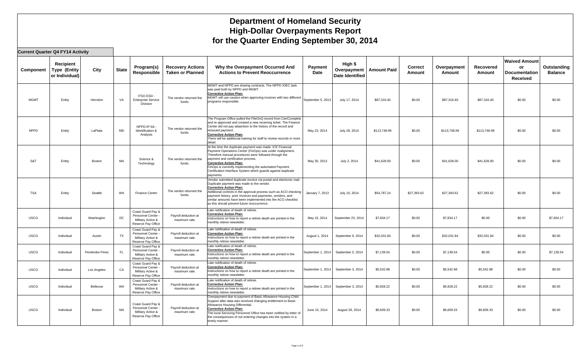#### **Current Quarter Q4 FY14 Activity**

| Component   | Recipient<br><b>Type (Entity</b><br>or Individual) | City           | <b>State</b> | Program(s)<br>Responsible                                                        | <b>Recovery Actions</b><br><b>Taken or Planned</b> | Why the Overpayment Occurred And<br><b>Actions to Prevent Reoccurrence</b>                                                                                                                                                                                                                                                                                                                         | Payment<br>Date   | High \$<br>Overpayment<br>Date Identified | <b>Amount Paid</b> | <b>Correct</b><br><b>Amount</b> | Overpayment<br>Amount | Recovered<br>Amount | <b>Waived Amount</b><br>or<br><b>Documentation</b><br><b>Received</b> | Outstanding<br><b>Balance</b> |
|-------------|----------------------------------------------------|----------------|--------------|----------------------------------------------------------------------------------|----------------------------------------------------|----------------------------------------------------------------------------------------------------------------------------------------------------------------------------------------------------------------------------------------------------------------------------------------------------------------------------------------------------------------------------------------------------|-------------------|-------------------------------------------|--------------------|---------------------------------|-----------------------|---------------------|-----------------------------------------------------------------------|-------------------------------|
| <b>MGMT</b> | Entity                                             | Herndon        | VA           | ITSO ESD-<br><b>Enterprise Service</b><br><b>Division</b>                        | The vendor returned the<br>funds.                  | MGMT and NPPD are sharing contracts. The NPPD /OEC task<br>was paid both by NPPD and MGMT.<br><b>Corrective Action Plan:</b><br>MGMT will use caution when approving invoices with two different<br>programs responsible.                                                                                                                                                                          | September 5, 2013 | July 17, 2014                             | \$87,316.40        | \$0.00                          | \$87,316.40           | \$87,316.40         | \$0.00                                                                | \$0.00                        |
| <b>NPPD</b> | Entity                                             | LaPlata        | <b>MD</b>    | NPPD-IP-IIA<br>Identification &<br>Analysis                                      | The vendor returned the<br>funds.                  | The Program Office pulled the FileOnQ record from CertComplete<br>and re-approved and created a new receiving ticket. The Finance<br>Center did not pay attaention to the history of the record and<br>reissued payment.<br><b>Corrective Action Plan:</b><br>There will be additional training for staff to review records in more<br>detail.                                                     | May 23, 2014      | July 28, 2014                             | \$113,748.99       | \$0.00                          | \$113,748.99          | \$113,748.99        | \$0.00                                                                | \$0.00                        |
| S&T         | Entity                                             | Boston         | MA           | Science &<br>Technology                                                          | The vendor returned the<br>funds.                  | At the time the duplicate payment was made, ICE Financial<br>Payment Operations Center (FinOps) was under realignment.<br>Therefore manual procedures were followed through the<br>payment and certification process.<br><b>Corrective Action Plan:</b><br>FinOps is currently implementing the automated Payment<br>Certification Interface System which guards against duplicate<br>payments.    | May 30, 2013      | July 2, 2014                              | \$41,628.00        | \$0.00                          | \$41,628.00           | \$41,628.00         | \$0.00                                                                | \$0.00                        |
| <b>TSA</b>  | Entity                                             | Seattle        | WA           | <b>Finance Center</b>                                                            | The vendor returned the<br>funds.                  | Vendor submitted duplicate invoice via postal and electronic mail.<br>Duplicate payment was made to the vendor.<br><b>Corrective Action Plan:</b><br>Additional controls in the approval process such as ACO checking<br>payment history, prior invoices and payments, vendors, and<br>similar amounts have been implemented into the ACO checklist<br>as this should prevent future reoccurrence. | January 7, 2013   | July 10, 2014                             | \$54,787.24        | \$27,393.62                     | \$27,393.62           | \$27,393.62         | \$0.00                                                                | \$0.00                        |
| <b>USCG</b> | Individual                                         | Washington     | DC           | Coast Guard Pay &<br>Personnel Center<br>Military Active &<br>Reserve Pay Office | Payroll deduction at<br>maximum rate.              | Late notification of death of retiree.<br><b>Corrective Action Plan:</b><br>Instructions on how to report a retiree death are printed in the<br>monthly retiree newsletter.                                                                                                                                                                                                                        | May 15, 2014      | September 23, 2014                        | \$7,834.17         | \$0.00                          | \$7,834.17            | \$0.00              | \$0.00                                                                | \$7,834.17                    |
| <b>USCG</b> | Individual                                         | Austin         | <b>TX</b>    | Coast Guard Pay &<br>Personnel Center<br>Military Active &<br>Reserve Pay Office | Payroll deduction at<br>maximum rate.              | Late notification of death of retiree.<br><b>Corrective Action Plan:</b><br>Instructions on how to report a retiree death are printed in the<br>monthly retiree newsletter.                                                                                                                                                                                                                        | August 1, 2014    | September 9, 2014                         | \$32.031.84        | \$0.00                          | \$32,031.84           | \$32.031.84         | \$0.00                                                                | \$0.00                        |
| <b>USCG</b> | Individual                                         | Pembroke Pines | FL.          | Coast Guard Pay &<br>Personnel Center<br>Military Active &<br>Reserve Pay Office | Payroll deduction at<br>maximum rate.              | Late notification of death of retiree.<br><b>Corrective Action Plan:</b><br>Instructions on how to report a retiree death are printed in the<br>monthly retiree newsletter.                                                                                                                                                                                                                        | September 1, 2014 | September 5, 2014                         | \$7,139.54         | \$0.00                          | \$7,139.54            | \$0.00              | \$0.00                                                                | \$7,139.54                    |
| <b>USCG</b> | Individual                                         | Los Angeles    | CA           | Coast Guard Pay &<br>Personnel Center<br>Military Active &<br>Reserve Pay Office | Payroll deduction at<br>maximum rate.              | Late notification of death of retiree.<br><b>Corrective Action Plan:</b><br>Instructions on how to report a retiree death are printed in the<br>monthly retiree newsletter.                                                                                                                                                                                                                        | September 1, 2014 | September 3, 2014                         | \$5,542.98         | \$0.00                          | \$5,542.98            | \$5,542.98          | \$0.00                                                                | \$0.00                        |
| <b>USCG</b> | Individual                                         | Bellevue       | WA           | Coast Guard Pay &<br>Personnel Center<br>Military Active &<br>Reserve Pay Office | Payroll deduction at<br>maximum rate.              | Late notification of death of retiree.<br><b>Corrective Action Plan:</b><br>Instructions on how to report a retiree death are printed in the<br>monthly retiree newsletter.                                                                                                                                                                                                                        | September 1, 2014 | September 3, 2014                         | \$5,928.22         | \$0.00                          | \$5,928.22            | \$5,928.22          | \$0.00                                                                | \$0.00                        |
| <b>USCG</b> | Individual                                         | Boston         | MA           | Coast Guard Pay &<br>Personnel Center<br>Military Active &<br>Reserve Pay Office | Payroll deduction at<br>maximum rate.              | Overpayment due to payment of Basic Allowance Housing Child<br>Support after data was received changing entitlement to Basic<br>Allowance Housing Differential<br><b>Corrective Action Plan:</b><br>The local Servicing Personnel Office has been notified by letter of<br>the consequences of not entering changes into the system in a<br>timely manner.                                         | June 15, 2014     | August 29, 2014                           | \$6,609.33         | \$0.00                          | \$6,609.33            | \$6,609.33          | \$0.00                                                                | \$0.00                        |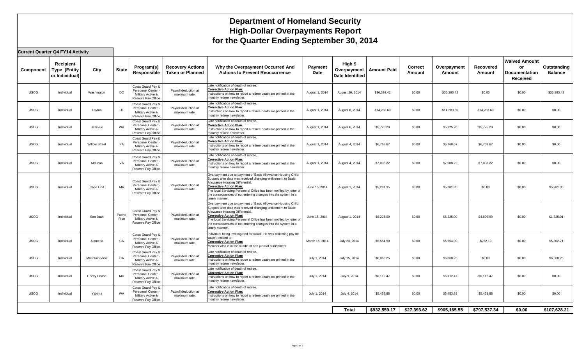#### **Current Quarter Q4 FY14 Activity**

| Component   | <b>Recipient</b><br><b>Type (Entity</b><br>or Individual) | City                 | <b>State</b>   | Program(s)<br>Responsible                                                        | <b>Recovery Actions</b><br><b>Taken or Planned</b> | Why the Overpayment Occurred And<br><b>Actions to Prevent Reoccurrence</b>                                                                                                                                                                                                                                                                                  | <b>Payment</b><br>Date | High \$<br>Overpayment<br>Date Identified | <b>Amount Paid</b> | <b>Correct</b><br>Amount | Overpayment<br>Amount | Recovered<br>Amount | <b>Waived Amount</b><br><b>or</b><br><b>Documentation</b><br><b>Received</b> | Outstanding<br><b>Balance</b> |
|-------------|-----------------------------------------------------------|----------------------|----------------|----------------------------------------------------------------------------------|----------------------------------------------------|-------------------------------------------------------------------------------------------------------------------------------------------------------------------------------------------------------------------------------------------------------------------------------------------------------------------------------------------------------------|------------------------|-------------------------------------------|--------------------|--------------------------|-----------------------|---------------------|------------------------------------------------------------------------------|-------------------------------|
| <b>USCG</b> | Individual                                                | Washington           | DC             | Coast Guard Pay &<br>Personnel Center<br>Military Active &<br>Reserve Pay Office | Payroll deduction at<br>maximum rate.              | Late notification of death of retiree.<br><b>Corrective Action Plan:</b><br>Instructions on how to report a retiree death are printed in the<br>monthly retiree newsletter.                                                                                                                                                                                 | August 1, 2014         | August 20, 2014                           | \$36,393.42        | \$0.00                   | \$36,393.42           | \$0.00              | \$0.00                                                                       | \$36,393.42                   |
| <b>USCG</b> | Individual                                                | Layton               | UT             | Coast Guard Pay &<br>Personnel Center<br>Military Active &<br>Reserve Pay Office | Payroll deduction at<br>maximum rate.              | Late notification of death of retiree.<br><b>Corrective Action Plan:</b><br>Instructions on how to report a retiree death are printed in the<br>monthly retiree newsletter.                                                                                                                                                                                 | August 1, 2014         | August 8, 2014                            | \$14,283.60        | \$0.00                   | \$14,283.60           | \$14,283.60         | \$0.00                                                                       | \$0.00                        |
| <b>USCG</b> | Individual                                                | Bellevue             | WA             | Coast Guard Pay &<br>Personnel Center<br>Military Active &<br>Reserve Pay Office | Payroll deduction at<br>maximum rate.              | Late notification of death of retiree.<br><b>Corrective Action Plan:</b><br>Instructions on how to report a retiree death are printed in the<br>monthly retiree newsletter.                                                                                                                                                                                 | August 1, 2014         | August 6, 2014                            | \$5,725.20         | \$0.00                   | \$5,725.20            | \$5,725.20          | \$0.00                                                                       | \$0.00                        |
| <b>USCG</b> | Individual                                                | <b>Willow Street</b> | PA             | Coast Guard Pay &<br>Personnel Center<br>Military Active &<br>Reserve Pay Office | Payroll deduction at<br>maximum rate.              | Late notification of death of retiree.<br><b>Corrective Action Plan:</b><br>Instructions on how to report a retiree death are printed in the<br>monthly retiree newsletter.                                                                                                                                                                                 | August 1, 2014         | August 4, 2014                            | \$6,768.67         | \$0.00                   | \$6,768.67            | \$6,768.67          | \$0.00                                                                       | \$0.00                        |
| <b>USCG</b> | Individual                                                | McLean               | VA             | Coast Guard Pay &<br>Personnel Center<br>Military Active &<br>Reserve Pay Office | Payroll deduction at<br>maximum rate.              | Late notification of death of retiree.<br><b>Corrective Action Plan:</b><br>Instructions on how to report a retiree death are printed in the<br>monthly retiree newsletter.                                                                                                                                                                                 | August 1, 2014         | August 4, 2014                            | \$7,008.22         | \$0.00                   | \$7,008.22            | \$7,008.22          | \$0.00                                                                       | \$0.00                        |
| <b>USCG</b> | Individual                                                | Cape Cod             | MA             | Coast Guard Pay &<br>Personnel Center<br>Military Active &<br>Reserve Pay Office | Payroll deduction at<br>maximum rate.              | Overpayment due to payment of Basic Allowance Housing Child<br>Support after data was received changing entitlement to Basic<br>Allowance Housing Differential<br><b>Corrective Action Plan:</b><br>The local Servicing Personnel Office has been notified by letter of<br>the consequences of not entering changes into the system in a<br>timely manner.  | June 15, 2014          | August 1, 2014                            | \$5,281.35         | \$0.00                   | \$5,281.35            | \$0.00              | \$0.00                                                                       | \$5,281.35                    |
| <b>USCG</b> | Individual                                                | San Juan             | Puerto<br>Rico | Coast Guard Pay &<br>Personnel Center<br>Military Active &<br>Reserve Pay Office | Payroll deduction at<br>maximum rate.              | Overpayment due to payment of Basic Allowance Housing Child<br>Support after data was received changing entitlement to Basic<br>Allowance Housing Differential.<br><b>Corrective Action Plan:</b><br>The local Servicing Personnel Office has been notified by letter of<br>the consequences of not entering changes into the system in a<br>timely manner. | June 15, 2014          | August 1, 2014                            | \$6,225.00         | \$0.00                   | \$6,225.00            | \$4,899.99          | \$0.00                                                                       | \$1,325.01                    |
| <b>USCG</b> | Individual                                                | Alameda              | CA             | Coast Guard Pay &<br>Personnel Center<br>Military Active &<br>Reserve Pay Office | Payroll deduction at<br>maximum rate.              | Individual being investigated for fraud. He was collecting pay he<br>wasn't entitled to.<br><b>Corrective Action Plan:</b><br>Member also is in the middle of non judicial punishment                                                                                                                                                                       | March 15, 2014         | July 23, 2014                             | \$5,554.90         | \$0.00                   | \$5,554.90            | \$252.19            | \$0.00                                                                       | \$5,302.71                    |
| <b>USCG</b> | Individual                                                | Mountain View        | CA             | Coast Guard Pay &<br>Personnel Center<br>Military Active &<br>Reserve Pay Office | Payroll deduction at<br>maximum rate.              | Late notification of death of retiree.<br><b>Corrective Action Plan:</b><br>Instructions on how to report a retiree death are printed in the<br>monthly retiree newsletter.                                                                                                                                                                                 | July 1, 2014           | July 15, 2014                             | \$6,068.25         | \$0.00                   | \$6,068.25            | \$0.00              | \$0.00                                                                       | \$6,068.25                    |
| <b>USCG</b> | Individual                                                | Chevy Chase          | MD             | Coast Guard Pay &<br>Personnel Center<br>Military Active &<br>Reserve Pay Office | Payroll deduction at<br>maximum rate.              | Late notification of death of retiree.<br><b>Corrective Action Plan:</b><br>Instructions on how to report a retiree death are printed in the<br>monthly retiree newsletter.                                                                                                                                                                                 | July 1, 2014           | July 9, 2014                              | \$6,112.47         | \$0.00                   | \$6,112.47            | \$6,112.47          | \$0.00                                                                       | \$0.00                        |
| <b>USCG</b> | Individual                                                | Yakima               | WA             | Coast Guard Pay &<br>Personnel Center<br>Military Active &<br>Reserve Pay Office | Payroll deduction at<br>maximum rate.              | Late notification of death of retiree.<br><b>Corrective Action Plan:</b><br>Instructions on how to report a retiree death are printed in the<br>monthly retiree newsletter.                                                                                                                                                                                 | July 1, 2014           | July 4, 2014                              | \$5,453.88         | \$0.00                   | \$5,453.88            | \$5,453.88          | \$0.00                                                                       | \$0.00                        |
|             |                                                           |                      |                |                                                                                  |                                                    |                                                                                                                                                                                                                                                                                                                                                             |                        | <b>Total</b>                              | \$932,559.17       | \$27,393.62              | \$905,165.55          | \$797,537.34        | \$0.00                                                                       | \$107,628.21                  |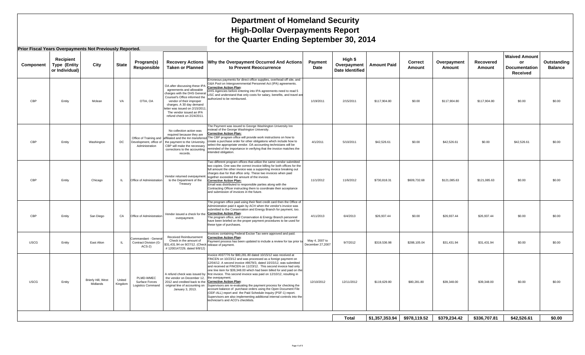|             | Prior Fiscal Years Overpayments Not Previously Reported. |                                |                   |                                                           |                                                                                                                                                                                                                                               |                                                                                                                                                                                                                                                                                                                                                                                                                                                                                                                                                                                                                                                                                                                                                                                                          |                                    |                                                  |                    |                          |                       |                     |                                                                |                               |
|-------------|----------------------------------------------------------|--------------------------------|-------------------|-----------------------------------------------------------|-----------------------------------------------------------------------------------------------------------------------------------------------------------------------------------------------------------------------------------------------|----------------------------------------------------------------------------------------------------------------------------------------------------------------------------------------------------------------------------------------------------------------------------------------------------------------------------------------------------------------------------------------------------------------------------------------------------------------------------------------------------------------------------------------------------------------------------------------------------------------------------------------------------------------------------------------------------------------------------------------------------------------------------------------------------------|------------------------------------|--------------------------------------------------|--------------------|--------------------------|-----------------------|---------------------|----------------------------------------------------------------|-------------------------------|
| Component   | Recipient<br><b>Type (Entity</b><br>or Individual)       | City                           | <b>State</b>      | Program(s)<br>Responsible                                 | <b>Taken or Planned</b>                                                                                                                                                                                                                       | Recovery Actions   Why the Overpayment Occurred And Actions<br>to Prevent Reoccurrence                                                                                                                                                                                                                                                                                                                                                                                                                                                                                                                                                                                                                                                                                                                   | Payment<br>Date                    | High \$<br>Overpayment<br><b>Date Identified</b> | <b>Amount Paid</b> | <b>Correct</b><br>Amount | Overpayment<br>Amount | Recovered<br>Amount | <b>Waived Amount</b><br>or<br><b>Documentation</b><br>Received | Outstanding<br><b>Balance</b> |
| CBP         | Entity                                                   | Mclean                         | VA                | OTIA, OA                                                  | OA after discussing these IPA<br>agreements and allowable<br>Counsel's Office informed the<br>vendor of their improper<br>charges. A 30 day demand<br>letter was issued on 2/15/2011<br>The vendor issued an IPA<br>refund check on 2/24/2011 | Erroneous payments for direct office supplies, overhead-off site, and<br>G&A Pool on Intergovernmental Personnel Act (IPA) agreements.<br><b>Corrective Action Plan:</b><br>DHS Agencies before entering into IPA agreements need to read 5<br>charges with the DHS General USC and understand that only costs for salary, benefits, and travel are<br>authorized to be reimbursed.                                                                                                                                                                                                                                                                                                                                                                                                                      | 1/19/2011                          | 2/15/2011                                        | \$117,904.80       | \$0.00                   | \$117,904.80          | \$117,904.80        | \$0.00                                                         | \$0.00                        |
| CBP         | Entity                                                   | Washington                     | DC                | Administration                                            | No collection action was<br>required because they are<br>Development, office of the payment to the University.<br>CBP will make the necessary<br>corrections to the accounting<br>records.                                                    | The Payment was issued to George Washington University Inn<br>instead of the George Washington University.<br><b>Corrective Action Plan:</b><br>Office of Training and affiliated and the Inn transferred The CBP program office will provide work instructions on how to<br>create a purchase order for other obligations which include how to<br>select the appropriate vendor. OA accounting technicians will be<br>reminded of the importance in verifying that the invoice matches the<br>intended obligation.                                                                                                                                                                                                                                                                                      | 4/1/2011                           | 5/10/2011                                        | \$42,526.61        | \$0.00                   | \$42,526.61           | \$0.00              | \$42,526.61                                                    | \$0.00                        |
| CBP         | Entity                                                   | Chicago                        | <b>IL</b>         | Office of Administration                                  | Vendor returned overpayment<br>to the Department of the<br>Treasury                                                                                                                                                                           | Two different program offices that utilize the same vendor submitted<br>two copies. One was the correct invoice billing for both offices for the<br>full amount the other invoice was a supporting invoice breaking out<br>charges due for that office only. These two invoices when paid<br>together exceeded the amount of the invoice.<br><b>Corrective Action Plan:</b><br>Email was distributed to responsible parties along with the<br>Contracting Officer instructing them to coordinate their acceptance<br>and submission of invoices in the future.                                                                                                                                                                                                                                           | 11/1/2012                          | 11/6/2012                                        | \$730,818.31       | \$609,732.68             | \$121,085.63          | \$121,085.63        | \$0.00                                                         | \$0.00                        |
| CBP         | Entity                                                   | San Diego                      | CA                | Office of Administration                                  | Vendor issued a check for the<br>overpayment.                                                                                                                                                                                                 | The program office paid using their fleet credit card then the Office of<br>Administration paid it again by ACH when the vendor's invoice was<br>submitted to the Conservation and Energy Branch for payment, too.<br><b>Corrective Action Plan:</b><br>The program office, and Conservation & Energy Branch personnel<br>have been briefed on the proper payment procedures to be used for<br>these type of purchases.                                                                                                                                                                                                                                                                                                                                                                                  | 4/11/2013                          | 6/4/2013                                         | \$26,937.44        | \$0.00                   | \$26,937.44           | \$26,937.44         | \$0.00                                                         | \$0.00                        |
| <b>USCG</b> | Entity                                                   | East Alton                     | IL                | Commandant - General<br>Contract Division (G-<br>$ACS-2)$ | Received Reimbursement<br>Check in the amount of<br>\$31,431.94 on 9/27/12. (Check release of payment.<br>#1200147229, dated 9/8/12)                                                                                                          | Invoices containing Federal Excise Tax were approved and paid.<br><b>Corrective Action Plan:</b><br>Payment process has been updated to include a review for tax prior to                                                                                                                                                                                                                                                                                                                                                                                                                                                                                                                                                                                                                                | May 4, 2007 to<br>December 27,2007 | 9/7/2012                                         | \$319,536.98       | \$288,105.04             | \$31,431.94           | \$31,431.94         | \$0.00                                                         | \$0.00                        |
| <b>USCG</b> | Entity                                                   | Brierly Hill, West<br>Midlands | United<br>Kingdom | PLMD-WMEC<br>Surface Forces<br>Logistics Command          | the vendor on December 12,<br>2012 and credited back to the Corrective Action Plan:<br>original line of accounting on<br>January 3, 2013.                                                                                                     | Invoice #037776 for \$80,281.80 dated 10/15/12 was received at<br>FINCEN on 10/23/12 and was processed as a foreign payment on<br>12/04/12. A second invoice #8679/3, dated 10/15/12, was submitted<br>and received at FINCEN on 11/23/12. This second invoice had only<br>one line item for \$39,348.00 which had been billed for and paid on the<br>A refund check was issued by first invoice. This second invoice was paid on 12/10/12, resulting in<br>the overpayment.<br>Supervisors are re-evaluating the payment process for checking the<br>account balance of purchase orders using the Open Document File<br>(ODF-ALL) report and the Paid Schedule Inquiry (PSF-1) report.<br>Supervisors are also implementing additional internal controls into the<br>technician's and ACO's checklists. | 12/10/2012                         | 12/11/2012                                       | \$119,629.80       | \$80,281.80              | \$39,348.00           | \$39,348.00         | \$0.00                                                         | \$0.00                        |
|             |                                                          |                                |                   |                                                           |                                                                                                                                                                                                                                               |                                                                                                                                                                                                                                                                                                                                                                                                                                                                                                                                                                                                                                                                                                                                                                                                          |                                    | <b>Total</b>                                     | \$1,357,353.94     | \$978,119.52             | \$379,234.42          | \$336,707.81        | \$42,526.61                                                    | \$0.00                        |
|             |                                                          |                                |                   |                                                           |                                                                                                                                                                                                                                               |                                                                                                                                                                                                                                                                                                                                                                                                                                                                                                                                                                                                                                                                                                                                                                                                          |                                    |                                                  |                    |                          |                       |                     |                                                                |                               |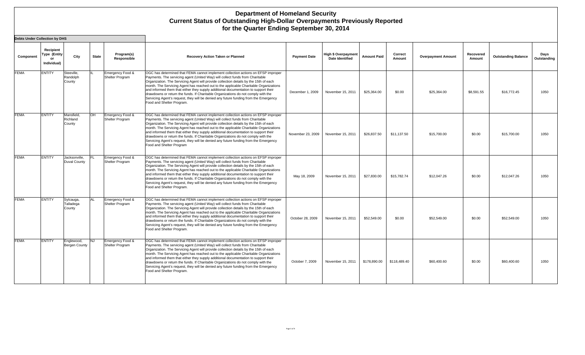| <b>Debts Under Collection by DHS</b> |                                          |                                    |              |                                            |                                                                                                                                                                                                                                                                                                                                                                                                                                                                                                                                                                                                                                                       |                     |                                               |                    |                   |                           |                     |                            |                     |
|--------------------------------------|------------------------------------------|------------------------------------|--------------|--------------------------------------------|-------------------------------------------------------------------------------------------------------------------------------------------------------------------------------------------------------------------------------------------------------------------------------------------------------------------------------------------------------------------------------------------------------------------------------------------------------------------------------------------------------------------------------------------------------------------------------------------------------------------------------------------------------|---------------------|-----------------------------------------------|--------------------|-------------------|---------------------------|---------------------|----------------------------|---------------------|
| Component                            | Recipient<br>Type (Entity<br>Individual) | City                               | <b>State</b> | Program(s)<br>Responsible                  | Recovery Action Taken or Planned                                                                                                                                                                                                                                                                                                                                                                                                                                                                                                                                                                                                                      | <b>Payment Date</b> | High \$ Overpayment<br><b>Date Identified</b> | <b>Amount Paid</b> | Correct<br>Amount | <b>Overpayment Amount</b> | Recovered<br>Amount | <b>Outstanding Balance</b> | Days<br>Outstanding |
| <b>FEMA</b>                          | <b>ENTITY</b>                            | Steeville,<br>Randolph<br>County   |              | Emergency Food &<br>Shelter Program        | OGC has determined that FEMA cannot implement collection actions on EFSP improper<br>Payments. The servicing agent (United Way) will collect funds from Charitable<br>Organization. The Servicing Agent will provide collection details by the 15th of each<br>month. The Servicing Agent has reached out to the applicable Charitable Organizations<br>and informed them that either they supply additional documentation to support their<br>drawdowns or return the funds. If Charitable Organizations do not comply with the<br>Servicing Agent's request, they will be denied any future funding from the Emergency<br>Food and Shelter Program. | December 1, 2009    | November 15, 2011                             | \$25,364.00        | \$0.00            | \$25,364.00               | \$8,591.55          | \$16,772.45                | 1050                |
| <b>FEMA</b>                          | <b>ENTITY</b>                            | Mansfield<br>Richland<br>County    | OH           | Emergency Food &<br>Shelter Program        | OGC has determined that FEMA cannot implement collection actions on EFSP improper<br>Payments. The servicing agent (United Way) will collect funds from Charitable<br>Organization. The Servicing Agent will provide collection details by the 15th of each<br>month. The Servicing Agent has reached out to the applicable Charitable Organizations<br>and informed them that either they supply additional documentation to support their<br>drawdowns or return the funds. If Charitable Organizations do not comply with the<br>Servicing Agent's request, they will be denied any future funding from the Emergency<br>Food and Shelter Program  | November 23, 2009   | November 15, 2011                             | \$26,837.50        | \$11,137.50       | \$15,700.00               | \$0.00              | \$15,700.00                | 1050                |
| <b>FEMA</b>                          | <b>ENTITY</b>                            | Jacksonville.<br>Duval County      | IFL.         | Emergency Food &<br><b>Shelter Program</b> | OGC has determined that FEMA cannot implement collection actions on EFSP improper<br>Payments. The servicing agent (United Way) will collect funds from Charitable<br>Organization. The Servicing Agent will provide collection details by the 15th of each<br>month. The Servicing Agent has reached out to the applicable Charitable Organizations<br>and informed them that either they supply additional documentation to support their<br>drawdowns or return the funds. If Charitable Organizations do not comply with the<br>Servicing Agent's request, they will be denied any future funding from the Emergency<br>Food and Shelter Program. | May 18, 2009        | November 15, 2011                             | \$27,830.00        | \$15,782.74       | \$12,047.26               | \$0.00              | \$12.047.26                | 1050                |
| <b>FEMA</b>                          | <b>ENTITY</b>                            | Sylcauga,<br>Talladega<br>County   | lAL.         | Emergency Food &<br><b>Shelter Program</b> | OGC has determined that FEMA cannot implement collection actions on EFSP improper<br>Payments. The servicing agent (United Way) will collect funds from Charitable<br>Organization. The Servicing Agent will provide collection details by the 15th of each<br>month. The Servicing Agent has reached out to the applicable Charitable Organizations<br>and informed them that either they supply additional documentation to support their<br>drawdowns or return the funds. If Charitable Organizations do not comply with the<br>Servicing Agent's request, they will be denied any future funding from the Emergency<br>Food and Shelter Program. | October 28, 2009    | November 15, 2011                             | \$52,549.00        | \$0.00            | \$52,549.00               | \$0.00              | \$52,549.00                | 1050                |
| <b>FEMA</b>                          | <b>ENTITY</b>                            | Englewood,<br><b>Bergen County</b> | <b>NJ</b>    | Emergency Food &<br>Shelter Program        | OGC has determined that FEMA cannot implement collection actions on EFSP improper<br>Payments. The servicing agent (United Way) will collect funds from Charitable<br>Organization. The Servicing Agent will provide collection details by the 15th of each<br>month. The Servicing Agent has reached out to the applicable Charitable Organizations<br>and informed them that either they supply additional documentation to support their<br>drawdowns or return the funds. If Charitable Organizations do not comply with the<br>Servicing Agent's request, they will be denied any future funding from the Emergency<br>Food and Shelter Program. | October 7, 2009     | November 15, 2011                             | \$178,890.00       | \$118,489.40      | \$60,400.60               | \$0.00              | \$60,400.60                | 1050                |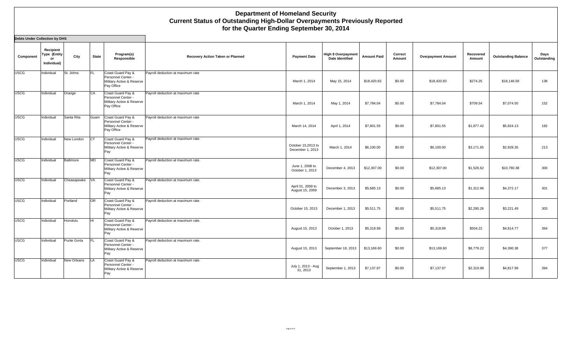| <b>Debts Under Collection by DHS</b> |                                                |             |              |                                                                                    |                                    |                                        |                                        |                    |                   |                           |                     |                            |                     |
|--------------------------------------|------------------------------------------------|-------------|--------------|------------------------------------------------------------------------------------|------------------------------------|----------------------------------------|----------------------------------------|--------------------|-------------------|---------------------------|---------------------|----------------------------|---------------------|
| Component                            | Recipient<br>Type (Entity<br>or<br>Individual) | City        | <b>State</b> | Program(s)<br>Responsible                                                          | Recovery Action Taken or Planned   | <b>Payment Date</b>                    | High \$ Overpayment<br>Date Identified | <b>Amount Paid</b> | Correct<br>Amount | <b>Overpayment Amount</b> | Recovered<br>Amount | <b>Outstanding Balance</b> | Days<br>Outstanding |
| <b>USCG</b>                          | Individual                                     | St. Johns   | IFL.         | Coast Guard Pay &<br>Personnel Center -<br>Military Active & Reserve<br>Pay Office | Payroll deduction at maximum rate  | March 1, 2014                          | May 15, 2014                           | \$18,420.83        | \$0.00            | \$18,420.83               | \$274.25            | \$18,146.58                | 138                 |
| <b>USCG</b>                          | Individual                                     | Orange      | CA           | Coast Guard Pay &<br>Personnel Center -<br>Military Active & Reserve<br>Pay Office | Payroll deduction at maximum rate  | March 1, 2014                          | May 1, 2014                            | \$7,784.04         | \$0.00            | \$7,784.04                | \$709.54            | \$7,074.50                 | 152                 |
| <b>USCG</b>                          | Individual                                     | Santa Rita  | Guam         | Coast Guard Pay &<br>Personnel Center -<br>Military Active & Reserve<br>Pay Office | Payroll deduction at maximum rate  | March 14, 2014                         | April 1, 2014                          | \$7,801.55         | \$0.00            | \$7,801.55                | \$1,877.42          | \$5,924.13                 | 182                 |
| <b>USCG</b>                          | Individual                                     | New London  | <b>CT</b>    | Coast Guard Pay &<br>Personnel Center -<br>Military Active & Reserve<br>Pay        | Payroll deduction at maximum rate. | October 15,2013 to<br>December 1, 2013 | March 1, 2014                          | \$6,100.00         | \$0.00            | \$6,100.00                | \$3,171.65          | \$2,928.35                 | 213                 |
| <b>USCG</b>                          | Individual                                     | Baltimore   | <b>MD</b>    | Coast Guard Pay &<br>Personnel Center -<br>Military Active & Reserve<br>Pay        | Payroll deduction at maximum rate. | June 1, 2008 to<br>October 1, 2013     | December 4, 2013                       | \$12,307.00        | \$0.00            | \$12,307.00               | \$1,526.62          | \$10,780.38                | 300                 |
| <b>USCG</b>                          | Individual                                     | Cheasapeake | <b>VA</b>    | Coast Guard Pay &<br>Personnel Center -<br>Military Active & Reserve<br>Pay        | Payroll deduction at maximum rate. | April 01, 2009 to<br>August 15, 2009   | December 3, 2013                       | \$5,685.13         | \$0.00            | \$5,685.13                | \$1,312.96          | \$4,372.17                 | 301                 |
| <b>USCG</b>                          | Individual                                     | Portland    | <b>OR</b>    | Coast Guard Pay &<br>Personnel Center -<br>Military Active & Reserve<br>Pay        | Payroll deduction at maximum rate. | October 15, 2013                       | December 1, 2013                       | \$5,511.75         | \$0.00            | \$5,511.75                | \$2,290.26          | \$3,221.49                 | 303                 |
| <b>USCG</b>                          | Individual                                     | Honolulu    | lнı          | Coast Guard Pay &<br>Personnel Center -<br>Military Active & Reserve<br>Pay        | Payroll deduction at maximum rate. | August 15, 2013                        | October 1, 2013                        | \$5,318.99         | \$0.00            | \$5,318.99                | \$504.22            | \$4,814.77                 | 364                 |
| <b>USCG</b>                          | Individual                                     | Punte Gorta | FL           | Coast Guard Pay &<br>Personnel Center -<br>Military Active & Reserve<br>Pay        | Payroll deduction at maximum rate. | August 15, 2013                        | September 18, 2013                     | \$13,169.60        | \$0.00            | \$13,169.60               | \$8,779.22          | \$4,390.38                 | 377                 |
| <b>USCG</b>                          | Individual                                     | New Orleans | LA           | Coast Guard Pay &<br>Personnel Center -<br>Military Active & Reserve<br>Pay        | Payroll deduction at maximum rate. | July 1, 2013 - Aug<br>31, 2013         | September 1, 2013                      | \$7,137.97         | \$0.00            | \$7,137.97                | \$2,319.98          | \$4,817.99                 | 394                 |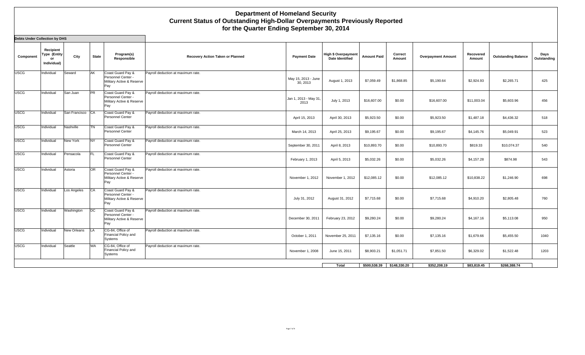| <b>Debts Under Collection by DHS</b> |                                                       |                  |              |                                                                             |                                    |                                 |                                                      |                    |                   |                           |                     |                            |                     |
|--------------------------------------|-------------------------------------------------------|------------------|--------------|-----------------------------------------------------------------------------|------------------------------------|---------------------------------|------------------------------------------------------|--------------------|-------------------|---------------------------|---------------------|----------------------------|---------------------|
| Component                            | Recipient<br><b>Type (Entity</b><br>or<br>Individual) | City             | <b>State</b> | Program(s)<br>Responsible                                                   | Recovery Action Taken or Planned   | <b>Payment Date</b>             | <b>High \$ Overpayment</b><br><b>Date Identified</b> | <b>Amount Paid</b> | Correct<br>Amount | <b>Overpayment Amount</b> | Recovered<br>Amount | <b>Outstanding Balance</b> | Days<br>Outstanding |
| <b>USCG</b>                          | Individual                                            | Seward           | AK           | Coast Guard Pay &<br>Personnel Center -<br>Military Active & Reserve<br>Pay | Payroll deduction at maximum rate. | May 15, 2013 - June<br>30, 2013 | August 1, 2013                                       | \$7,059.49         | \$1,868.85        | \$5,190.64                | \$2,924.93          | \$2,265.71                 | 425                 |
| <b>USCG</b>                          | Individual                                            | San Juan         | <b>PR</b>    | Coast Guard Pay &<br>Personnel Center -<br>Military Active & Reserve<br>Pay | Payroll deduction at maximum rate. | Jan 1, 2013 - May 31,<br>2013   | July 1, 2013                                         | \$16,607.00        | \$0.00            | \$16,607.00               | \$11,003.04         | \$5,603.96                 | 456                 |
| <b>USCG</b>                          | Individual                                            | San Francisco CA |              | Coast Guard Pay &<br>Personnel Center                                       | Payroll deduction at maximum rate. | April 15, 2013                  | April 30, 2013                                       | \$5,923.50         | \$0.00            | \$5,923.50                | \$1,487.18          | \$4,436.32                 | 518                 |
| <b>USCG</b>                          | Individual                                            | Nashville        | TN           | Coast Guard Pay &<br>Personnel Center                                       | Payroll deduction at maximum rate. | March 14, 2013                  | April 25, 2013                                       | \$9,195.67         | \$0.00            | \$9,195.67                | \$4,145.76          | \$5,049.91                 | 523                 |
| <b>USCG</b>                          | Individual                                            | New York         | <b>NY</b>    | Coast Guard Pay &<br>Personnel Center                                       | Payroll deduction at maximum rate. | September 30, 2011              | April 8, 2013                                        | \$10,893.70        | \$0.00            | \$10,893.70               | \$819.33            | \$10,074.37                | 540                 |
| <b>USCG</b>                          | Individual                                            | Pensacola        | <b>FL</b>    | Coast Guard Pay &<br>Personnel Center                                       | Payroll deduction at maximum rate. | February 1, 2013                | April 5, 2013                                        | \$5,032.26         | \$0.00            | \$5,032.26                | \$4,157.28          | \$874.98                   | 543                 |
| <b>USCG</b>                          | Individual                                            | Astoria          | <b>OR</b>    | Coast Guard Pay &<br>Personnel Center -<br>Military Active & Reserve<br>Pay | Payroll deduction at maximum rate. | November 1, 2012                | November 1, 2012                                     | \$12,085.12        | \$0.00            | \$12,085.12               | \$10,838.22         | \$1,246.90                 | 698                 |
| <b>USCG</b>                          | Individual                                            | Los Angeles      | CA           | Coast Guard Pay &<br>Personnel Center -<br>Military Active & Reserve<br>Pay | Payroll deduction at maximum rate  | July 31, 2012                   | August 31, 2012                                      | \$7,715.68         | \$0.00            | \$7,715.68                | \$4,910.20          | \$2,805.48                 | 760                 |
| <b>USCG</b>                          | Individual                                            | Washington       | DC           | Coast Guard Pay &<br>Personnel Center -<br>Military Active & Reserve<br>Pay | Payroll deduction at maximum rate. | December 30, 2011               | February 23, 2012                                    | \$9,280.24         | \$0.00            | \$9,280.24                | \$4,167.16          | \$5,113.08                 | 950                 |
| <b>USCG</b>                          | Individual                                            | New Orleans      | LA           | CG-84, Office of<br>Financial Policy and<br>Systems                         | Payroll deduction at maximum rate. | October 1, 2011                 | November 25, 2011                                    | \$7,135.16         | \$0.00            | \$7,135.16                | \$1,679.66          | \$5,455.50                 | 1040                |
| <b>USCG</b>                          | Individual                                            | Seattle          | WA           | CG-84, Office of<br>Financial Policy and<br>Systems                         | Payroll deduction at maximum rate. | November 1, 2008                | June 15, 2011                                        | \$8,903.21         | \$1,051.71        | \$7,851.50                | \$6,329.02          | \$1,522.48                 | 1203                |
|                                      |                                                       |                  |              |                                                                             |                                    |                                 | Total                                                | \$500,538.39       | \$148,330.20      | \$352,208.19              | \$83,819.45         | \$268,388.74               |                     |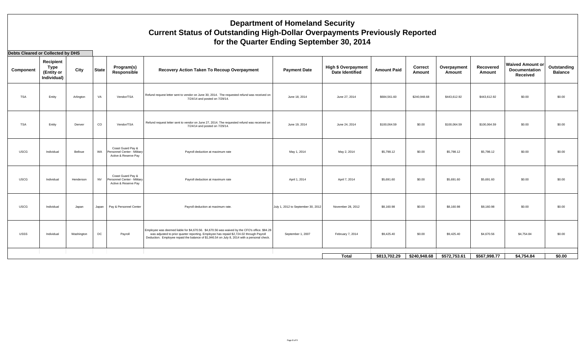| Debts Cleared or Collected by DHS |                                                |            |              |                                                                          |                                                                                                                                                                                                                                                                                         |                                    |                                                      |                    |                          |                       |                     |                                                             |                               |
|-----------------------------------|------------------------------------------------|------------|--------------|--------------------------------------------------------------------------|-----------------------------------------------------------------------------------------------------------------------------------------------------------------------------------------------------------------------------------------------------------------------------------------|------------------------------------|------------------------------------------------------|--------------------|--------------------------|-----------------------|---------------------|-------------------------------------------------------------|-------------------------------|
| Component                         | Recipient<br>Type<br>(Entity or<br>Individual) | City       | <b>State</b> | Program(s)<br>Responsible                                                | Recovery Action Taken To Recoup Overpayment                                                                                                                                                                                                                                             | <b>Payment Date</b>                | <b>High \$ Overpayment</b><br><b>Date Identified</b> | <b>Amount Paid</b> | <b>Correct</b><br>Amount | Overpayment<br>Amount | Recovered<br>Amount | <b>Waived Amount or</b><br><b>Documentation</b><br>Received | Outstanding<br><b>Balance</b> |
| <b>TSA</b>                        | Entity                                         | Arlington  | VA           | Vendor/TSA                                                               | Refund request letter sent to vendor on June 30, 2014. The requested refund was received on<br>7/24/14 and posted on 7/29/14.                                                                                                                                                           | June 18, 2014                      | June 27, 2014                                        | \$684,561.60       | \$240,948.68             | \$443,612.92          | \$443,612.92        | \$0.00                                                      | \$0.00                        |
| <b>TSA</b>                        | Entity                                         | Denver     | $_{\rm CO}$  | Vendor/TSA                                                               | Refund request letter sent to vendor on June 27, 2014. The requested refund was received on<br>7/24/14 and posted on 7/29/14.                                                                                                                                                           | June 19, 2014                      | June 24, 2014                                        | \$100,064.59       | \$0.00                   | \$100,064.59          | \$100,064.59        | \$0.00                                                      | \$0.00                        |
| <b>USCG</b>                       | Individual                                     | Bellvue    | WA           | Coast Guard Pav &<br>Personnel Center - Military<br>Active & Reserve Pay | Payroll deduction at maximum rate                                                                                                                                                                                                                                                       | May 1, 2014                        | May 2, 2014                                          | \$5,798.12         | \$0.00                   | \$5,798.12            | \$5,798.12          | \$0.00                                                      | \$0.00                        |
| <b>USCG</b>                       | Individual                                     | Henderson  | <b>NV</b>    | Coast Guard Pay &<br>Personnel Center - Military<br>Active & Reserve Pay | Payroll deduction at maximum rate                                                                                                                                                                                                                                                       | April 1, 2014                      | April 7, 2014                                        | \$5,691.60         | \$0.00                   | \$5,691.60            | \$5,691.60          | \$0.00                                                      | \$0.00                        |
| <b>USCG</b>                       | Individual                                     | Japan      | Japan        | Pay & Personnel Center                                                   | Payroll deduction at maximum rate.                                                                                                                                                                                                                                                      | July 1, 2012 to September 30, 2012 | November 28, 2012                                    | \$8,160.98         | \$0.00                   | \$8,160.98            | \$8,160.98          | \$0.00                                                      | \$0.00                        |
| <b>USSS</b>                       | Individual                                     | Washington | $_{\rm DC}$  | Payroll                                                                  | Employee was deemed liable for \$4,670.56. \$4,670.56 was waived by the CFO's office. \$84.28<br>was adjusted to prior quarter reporting. Employee has repaid \$2,724.02 through Payroll<br>Deduction. Employee repaid the balance of \$1,946.54 on July 8, 2014 with a personal check. | September 1, 2007                  | February 7, 2014                                     | \$9,425.40         | \$0.00                   | \$9,425.40            | \$4,670.56          | \$4,754.84                                                  | \$0.00                        |
|                                   |                                                |            |              |                                                                          |                                                                                                                                                                                                                                                                                         |                                    | Total                                                | \$813,702.29       | \$240,948.68             | \$572,753.61          | \$567.998.77        | \$4.754.84                                                  | \$0.00                        |